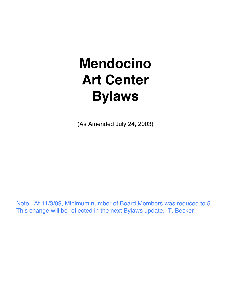# **Mendocino Art Center Bylaws**

(As Amended July 24, 2003)

Note: At 11/3/09, Minimum number of Board Members was reduced to 5. This change will be reflected in the next Bylaws update. T. Becker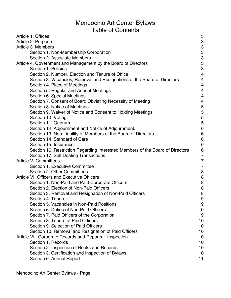# Mendocino Art Center Bylaws Table of Contents

| Article 1. Offices                                                             | 3                        |
|--------------------------------------------------------------------------------|--------------------------|
| Article 2. Purpose                                                             | 3                        |
| Article 3. Members                                                             | 3                        |
| Section 1. Non-Membership Corporation                                          | $\frac{3}{3}$            |
| Section 2. Associate Members                                                   |                          |
| Article 4. Government and Management by the Board of Directors                 | 3                        |
| Section 1. Policies                                                            | 3                        |
| Section 2. Number, Election and Tenure of Office                               | 4                        |
| Section 3. Vacancies, Removal and Resignations of the Board of Directors       | 4                        |
| Section 4. Place of Meetings                                                   | 4                        |
| Section 5. Regular and Annual Meetings                                         | 4                        |
| Section 6. Special Meetings                                                    | 4                        |
| Section 7. Consent of Board Obviating Necessity of Meeting                     | $\overline{\mathcal{A}}$ |
| Section 8. Notice of Meetings                                                  | 5                        |
| Section 9. Waiver of Notice and Consent to Holding Meetings                    | 5                        |
| Section 10. Voting                                                             | 5                        |
| Section 11. Quorum                                                             | 5                        |
| Section 12. Adjournment and Notice of Adjournment.                             | $\overline{6}$           |
| Section 13. Non-Liability of Members of the Board of Directors                 | $\overline{6}$           |
| Section 14. Standard of Care                                                   | $\overline{6}$           |
| Section 15. Insurance                                                          | $6\phantom{1}6$          |
| Section 16. Restriction Regarding Interested Members of the Board of Directors | $\overline{6}$           |
| Section 17. Self Dealing Transactions                                          | $\overline{7}$           |
| <b>Article V. Committees</b>                                                   | $\overline{7}$           |
| Section 1. Executive Committee                                                 | $\overline{7}$           |
| Section 2. Other Committees                                                    | 8                        |
| <b>Article VI. Officers and Executive Officers</b>                             | 8                        |
| Section 1. Non-Paid and Paid Corporate Officers                                | 8                        |
| Section 2. Election of Non-Paid Officers                                       | 8                        |
| Section 3. Removal and Resignation of Non-Paid Officers                        | 8                        |
| Section 4. Tenure                                                              | 9                        |
| Section 5. Vacancies in Non-Paid Positions                                     | 9                        |
| Section 6. Duties of Non-Paid Officers                                         | 9                        |
| Section 7. Paid Officers of the Corporation                                    | 9                        |
| Section 8. Tenure of Paid Officers                                             | 10                       |
| Section 9. Selection of Paid Officers                                          | 10                       |
| Section 10. Removal and Resignation of Paid Officers                           | 10                       |
| Article VII. Corporate Records and Reports – Inspection                        | 10                       |
| Section 1. Records                                                             | 10                       |
| Section 2. Inspection of Books and Records                                     | 10                       |
| Section 3. Certification and Inspection of Bylaws                              | 10                       |
| Section 6. Annual Report                                                       | 11                       |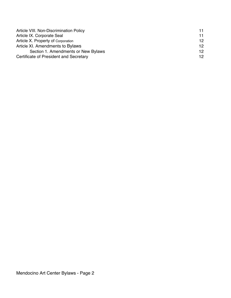| Article VIII. Non-Discrimination Policy | 11 |
|-----------------------------------------|----|
| Article IX. Corporate Seal              | 11 |
| Article X. Property of Corporation      | 12 |
| Article XI. Amendments to Bylaws        | 12 |
| Section 1. Amendments or New Bylaws     | 12 |
| Certificate of President and Secretary  | 12 |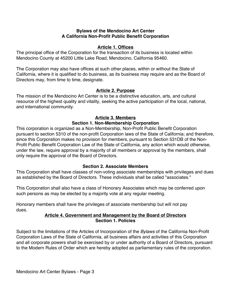#### **Bylaws of the Mendocino Art Center A California Non-Profit Public Benefit Corporation**

#### **Article 1. Offices**

The principal office of the Corporation for the transaction of its business is located within Mendocino County at 45200 Little Lake Road, Mendocino, California 95460.

The Corporation may also have offices at such other places, within or without the State of California, where it is qualified to do business, as its business may require and as the Board of Directors may, from time to time, designate.

#### **Article 2. Purpose**

The mission of the Mendocino Art Center is to be a distinctive education, arts, and cultural resource of the highest quality and vitality, seeking the active participation of the local, national, and international community.

# **Article 3. Members**

#### **Section 1. Non-Membership Corporation**

This corporation is organized as a Non-Membership, Non-Profit Public Benefit Corporation pursuant to section 5310 of the non-profit Corporation laws of the State of California; and therefore, since this Corporation makes no provision for members, pursuant to Section 531DB of the Non-Profit Public Benefit Corporation Law of the State of California, any action which would otherwise, under the law, require approval by a majority of all members or approval by the members, shall only require the approval of the Board of Directors.

#### **Section 2. Associate Members**

This Corporation shall have classes of non-voting associate memberships with privileges and dues as established by the Board of Directors. These individuals shall be called "associates."

This Corporation shall also have a class of Honorary Associates which may be conferred upon such persons as may be elected by a majority vote at any regular meeting.

Honorary members shall have the privileges of associate membership but will not pay dues.

#### **Article 4. Government and Management by the Board of Directors Section 1. Policies**

Subject to the limitations of the Articles of Incorporation of the *Bylaws* of the California Non-Profit Corporation Laws of the State of California, all business affairs and activities of this Corporation and all corporate powers shall be exercised by or under authority of a Board of Directors, pursuant to the Modern Rules of Order which are hereby adopted as parliamentary rules of the corporation.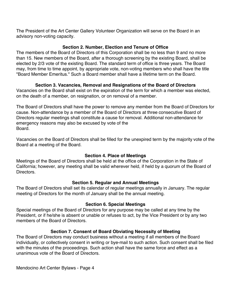The President of the Art Center Gallery Volunteer Organization will serve on the Board in an advisory non-voting capacity.

#### **Section 2. Number, Election and Tenure of Office**

The members of the Board of Directors of this Corporation shall be no less than 9 and no more than 15. New members of the Board, after a thorough screening by the existing Board, shall be elected by 2/3 vote of the existing Board. The standard term of office is three years. The Board may, from time to time appoint, by appropriate vote, non-voting members who shall have the title "Board Member Emeritus." Such a Board member shall have a lifetime term on the Board.

#### **Section 3. Vacancies, Removal and Resignations of the Board of Directors**

Vacancies on the Board shall exist on the expiration of the term for which a member was elected, on the death of a member, on resignation, or on removal of a member.

The Board of Directors shall have the power to remove any member from the Board of Directors for cause. Non-attendance by a member of the Board of Directors at three consecutive Board of Directors regular meetings shall constitute a cause for removal. Additional non-attendance for emergency reasons may also be excused by vote of the Board.

Vacancies on the Board of Directors shall be filled for the unexpired term by the majority vote of the Board at a meeting of the Board.

#### **Section 4. Place of Meetings**

Meetings of the Board of Directors shall be held at the office of the Corporation in the State of California; however, any meeting shall be valid wherever held, if held by a quorum of the Board of Directors.

#### **Section 5. Regular and Annual Meetings**

The Board of Directors shall set its calendar of regular meetings annually in January. The regular meeting of Directors for the month of January shall be the annual meeting.

#### **Section 6. Special Meetings**

Special meetings of the Board of Directors for any purpose may be called at any time by the President, or if he/she is absent or unable or refuses to act, by the Vice President or by any two members of the Board of Directors.

#### **Section 7. Consent of Board Obviating Necessity of Meeting**

The Board of Directors may conduct business without a meeting if all members of the Board individually, or collectively consent in writing or bye-mail to such action. Such consent shall be filed with the minutes of the proceedings. Such action shall have the same force and effect as a unanimous vote of the Board of Directors.

Mendocino Art Center Bylaws - Page 4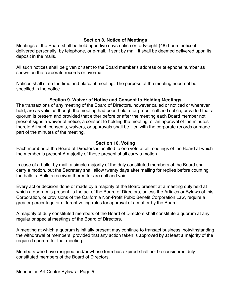#### **Section 8. Notice of Meetings**

Meetings of the Board shall be held upon five days notice or forty-eight (48) hours notice if delivered personally, by telephone, or e-mail. If sent by mail, it shall be deemed delivered upon its deposit in the mails.

All such notices shall be given or sent to the Board member's address or telephone number as shown on the corporate records or bye-mail.

Notices shall state the time and place of meeting. The purpose of the meeting need not be specified in the notice.

#### **Section 9. Waiver of Notice and Consent to Holding Meetings**

The transactions of any meeting of the Board of Directors, however called or noticed or wherever held, are as valid as though the meeting had been held after proper call and notice, provided that a quorum is present and provided that either before or after the meeting each Board member not present signs a waiver of notice, a consent to holding the meeting, or an approval of the minutes thereto All such consents, waivers, or approvals shall be filed with the corporate records or made part of the minutes of the meeting.

#### **Section 10. Voting**

Each member of the Board of Directors is entitled to one vote at all meetings of the Board at which the member is present A majority of those present shall carry a motion.

In case of a ballot by mail, a simple majority of the duly constituted members of the Board shall carry a motion, but the Secretary shall allow twenty days after mailing for replies before counting the ballots. Ballots received thereafter are null and void.

Every act or decision done or made by a majority of the Board present at a meeting duly held at which a quorum is present, is the act of the Board of Directors, unless the Articles or Bylaws of this Corporation, or provisions of the California Non-Profit Pubic Benefit Corporation Law, require a greater percentage or different voting rules for approval of a matter by the Board.

A majority of duly constituted members of the Board of Directors shall constitute a quorum at any regular or special meetings of the Board of Directors.

A meeting at which a quorum is initially present may continue to transact business, notwithstanding the withdrawal of members, provided that any action taken is approved by at least a majority of the required quorum for that meeting.

Members who have resigned and/or whose term has expired shall not be considered duly constituted members of the Board of Directors.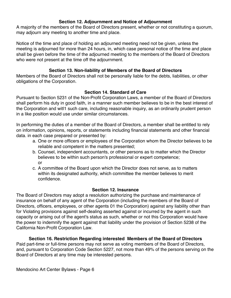#### **Section 12. Adjournment and Notice of Adjournment**

A majority of the members of the Board of Directors present, whether or not constituting a quorum, may adjourn any meeting to another time and place.

Notice of the time and place of holding an adjourned meeting need not be given, unless the meeting is adjourned for more than 24 hours, in, which case personal notice of the time and place shall be given before the time of the adjourned meeting to the members of the Board of Directors who were not present at the time off the adjournment.

#### **Section 13. Non-liability of Members of the Board of Directors**

Members of the Board of Directors shall not be personally liable for the debts, liabilities, or other obligations of the Corporation.

#### **Section 14. Standard of Care**

Pursuant to Section 5231 of the Non-Profit Corporation Laws, a member of the Board of Directors shall perform his duty in good faith, in a manner such member believes to be in the best interest of the Corporation and witl1 such care, including reasonable inquiry, as an ordinarily prudent person in a like position would use under similar circumstances.

In performing the duties of a member of the Board of Directors, a member shall be entitled to rely on information, opinions, reports, or statements including financial statements and other financial data. in each case prepared or presented by:

- a. One or more officers or employees of the Corporation whom the Director believes to be reliable and competent in the matters presented;
- b. Counsel, independent accountants, or other persons as to matter which the Director believes to be within such person's professional or expert competence; or
- c. A committee of the Board upon which the Director does not serve, as to matters within its designated authority, which committee the member believes to merit confidence.

#### **Section 12. Insurance**

The Board of Directors may adopt a resolution authorizing the purchase and maintenance of insurance on behalf of any agent of the Corporation (including the members of the Board of Directors, officers, employees, or other agents 01 the Corporation) against any liability other than for Violating provisions against self-dealing asserted against or incurred by the agent in such capacity or arising out of the agent's status as such, whether or not this Corporation would have the power to indemnify the agent against that liability under the provision of Section 5238 of the California Non-Profit Corporation Law.

#### **Section 16. Restriction Regarding interested Members of the Board of Directors**

Paid part-time or full-time persons may not serve as voting members of the Board of Directors, and, pursuant to Corporation Code Section 5227, not more than 49% of the persons serving on the Board of Directors at any time may be interested persons.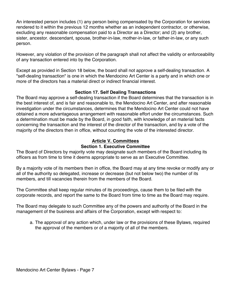An interested person includes (1) any person being compensated by the Corporation for services rendered to it within the previous 12 months whether as an independent contractor, or otherwise, excluding any reasonable compensation paid to a Director as a Director; and (2) any brother, sister, ancestor. descendant, spouse, brother-in-law, mother-in-law, or father-in-law, or any such person.

However, any violation of the provision of the paragraph shall not affect the validity or enforceability of any transaction entered into by the Corporation.

Except as provided in Section 18 below, the board shall not approve a self-dealing transaction. A "self-dealing transaction" is one in which the Mendocino Art Center is a party and in which one or more of the directors has a material direct or indirect financial interest.

## **Section 17. Self Dealing Transactions**

The Board may approve a self-dealing transaction if the Board determines that the transaction is in the best interest of, and is fair and reasonable to, the Mendocino Art Center, and after reasonable investigation under the circumstances, determines that the Mendocino Art Center could not have obtained a more advantageous arrangement with reasonable effort under the circumstances. Such a determination must be made by the Board, in good faith, with knowledge of an material facts concerning the transaction and the interest of the director of the transaction, and by a vote of the majority of the directors then in office, without counting the vote of the interested director.

## **Article V. Committees Section 1. Executive Committee**

The Board of Directors by majority vote may designate such members of the Board including its officers as from time to time it deems appropriate to serve as an Executive Committee.

By a majority vote of its members then in office, the Board may at any time revoke or modify any or all of the authority so delegated, increase or decrease (but not below two) the number of its members, and till vacancies therein from the members of the Board.

The Committee shall keep regular minutes of its proceedings, cause them to be filed with the corporate records, and report the same to the Board from time to time as the Board may require.

The Board may delegate to such Committee any of the powers and authority of the Board in the management of the business and affairs of the Corporation, except with respect to:

a. The approval of any action which, under law or the provisions of these Bylaws, required the approval of the members or of a majority of all of the members.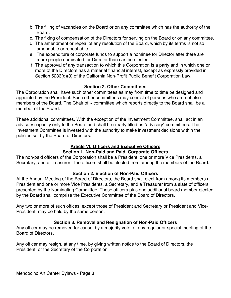- b. The filling of vacancies on the Board or on any committee which has the authority of the Board.
- c. The fixing of compensation of the Directors for serving on the Board or on any committee.
- d. The amendment or repeal of any resolution of the Board, which by its terms is not so amendable or repeal able.
- e. The expenditure of corporate funds to support a nominee for Director after there are more people nominated for Director than can be elected.
- f. The approval of any transaction to which this Corporation is a party and in which one or more of the Directors has a material financial interest, except as expressly provided in Section 5233(d)(3) of the California Non-Profit Public Benefit Corporation Law.

#### **Section 2. Other Committees**

The Corporation shall have such other committees as may from time to time be designed and appointed by the President. Such other committees may consist of persons who are not also members of the Board. The Chair of  $\sim$  committee which reports directly to the Board shall be a member of the Board.

These additional committees, With the exception of the Investment Committee, shall act in an advisory capacity only to the Board and shall be clearly titled as "advisory" committees. The Investment Committee is invested with the authority to make investment decisions within the policies set by the Board of Directors.

## **Article VI. Officers and Executive Officers Section 1. Non-Paid and Paid Corporate Officers**

The non-paid officers of the Corporation shall be a President, one or more Vice Presidents, a Secretary, and a Treasurer. The officers shall be elected from among the members of the Board.

#### **Section 2. Election of Non-Paid Officers**

At the Annual Meeting of the Board of Directors, the Board shall elect from among its members a President and one or more Vice Presidents, a Secretary, and a Treasurer from a slate of officers presented by the Nominating Committee. These officers plus one additional board member ejected by the Board shall comprise the Executive Committee of the Board of Directors.

Any two or more of such offices, except those of President and Secretary or President and Vice-President, may be held by the same person.

#### **Section 3. Removal and Resignation of Non-Paid Officers**

Any officer may be removed for cause, by a majority vote, at any regular or special meeting of the Board of Directors.

Any officer may resign, at any time, by giving written notice to the Board of Directors, the President, or the Secretary of the Corporation.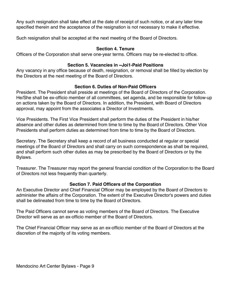Any such resignation shall take effect at the date of receipt of such notice, or at any later time specified therein and the acceptance of the resignation is not necessary to make it effective.

Such resignation shall be accepted at the next meeting of the Board of Directors.

#### **Section 4. Tenure**

Officers of the Corporation shall serve one-year terms. Officers may be re-elected to office.

# **Section 5. Vacancies in ~Joi1-Paid Positions**

Any vacancy in any office because of death, resignation, or removal shall be filled by election by the Directors at the next meeting of the Board of Directors.

# **Section 6. Duties of Non-Paid Officers**

President. The President shall preside at meetings of the Board of Directors of the Corporation. He/She shall be ex-officio member of all committees, set agenda, and be responsible for follow-up on actions taken by the Board of Directors. In addition, the President, with Board of Directors approval, may appoint from the associates a Director of Investments.

Vice Presidents. The First Vice President shall perform the duties of the President in his/her absence and other duties as determined from time to time by the Board of Directors. Other Vice Presidents shall perform duties as determined from time to time by the Board of Directors.

Secretary. The Secretary shall keep a record of all business conducted at regular or special meetings of the Board of Directors and shall carry on such correspondence as shall be required, and shall perform such other duties as may be prescribed by the Board of Directors or by the Bylaws.

Treasurer. The Treasurer may report the general financial condition of the Corporation to the Board of Directors not less frequently than quarterly.

# **Section 7. Paid Officers of the Corporation**

An Executive Director and Chief Financial Officer may be employed by the Board of Directors to administer the affairs of the Corporation. The extent of the Executive Director's powers and duties shall be delineated from time to time by the Board of Directors.

The Paid Officers cannot serve as voting members of the Board of Directors. The Executive Director will serve as an ex-officio member of the Board of Directors.

The Chief Financial Officer may serve as an ex-officio member of the Board of Directors at the discretion of the majority of its voting members.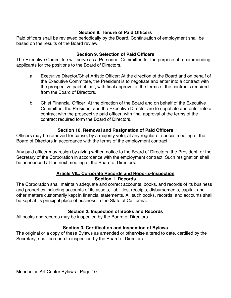## **Section 8. Tenure of Paid Officers**

Paid officers shall be reviewed periodically by the Board. Continuation of employment shall be based on the results of the Board review.

## **Section 9. Selection of Paid Officers**

The Executive Committee will serve as a Personnel Committee for the purpose of recommending applicants for the positions to the Board of Directors.

- a. Executive Director/Chief Artistic Officer: At the direction of the Board and on behalf of the Executive Committee, the President is to negotiate and enter into a contract with the prospective paid officer, with final approval of the terms of the contracts required from the Board of Directors.
- b. Chief Financial Officer: At the direction of the Board and on behalf of the Executive Committee, the President and the Executive Director are to negotiate and enter into a contract with the prospective paid officer, with final approval of the terms of the contract required form the Board of Directors.

# **Section 10. Removal and Resignation of Paid Officers**

Officers may be removed for cause, by a majority vote, at any regular or special meeting of the Board of Directors in accordance with the terms of the employment contract.

Any paid officer may resign by giving written notice to the Board of Directors, the President, or the Secretary of the Corporation in accordance with the employment contract. Such resignation shall be announced at the next meeting of the Board of Directors.

#### **Article VIL. Corporate Records and Reports-Inspection Section 1. Records**

The Corporation shall maintain adequate and correct accounts, books, and records of its business and properties including accounts of its assets, liabilities, receipts, disbursements, capital, and other matters customarily kept in financial statements. All such books, records, and accounts shall be kept at its principal place of business in the State of California.

# **Section 2. Inspection of Books and Records**

All books and records may be inspected by the Board of Directors.

# **Section 3. Certification and Inspection of Bylaws**

The original or a copy of these Bylaws as amended or otherwise altered to date, certified by the Secretary, shall be open to inspection by the Board of Directors.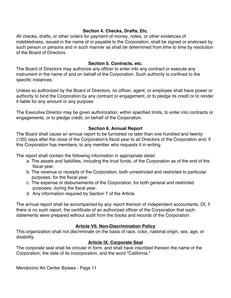#### **Section 4. Checks, Drafts, Etc.**

All checks, drafts, or other orders for payment of money, notes, or other evidences of indebtedness, issued in the name of or payable to the Corporation, shall be signed or endorsed by such person or persons and in such manner as shall be determined from time to time by resolution of the Board of Directors.

#### **Section 5. Contracts, etc.**

The Board of Directors may authorize any officer to enter into any contract or execute any instrument in the name of and on behalf of the Corporation. Such authority is confined to the specific instances.

Unless so authorized by the Board of Directors, no officer, agent, or employee shall have power or authority to bind the Corporation by any contract or engagement, or to pledge its credit or to render it liable for any amount or any purpose.

The Executive Director may be given authorization, within specified limits, to enter into contracts or engagements, or to pledge credit, on behalf of the Corporation.

# **Section 6. Annual Report**

The Board shall cause an annual report to be furnished no later than one hundred and twenty (120) days after the close of the Corporation's fiscal year to all Directors of the Corporation and, if this Corporation has members, to any member who requests it in writing.

The report shall contain the following information in appropriate detail:

- a. The assets and liabilities, including the trust funds, of the Corporation as of the end of the fiscal year.
- b. The revenue or receipts of the Corporation, both unrestricted and restricted to particular purposes, for the fiscal year.
- c. The expense or disbursements of the Corporation, for both general and restricted purposes, during the fiscal year.
- d. Any information required by Section 7 of the Article.

The annual report shall be accompanied by any report thereon of independent accountants, Of, if there is no such report, the certificate of an authorized officer of the Corporation that such statements were prepared without audit from the books and records of the Corporation.

# **Article VII. Non-Discrimination Policy**

This organization shall not discriminate on the basis of race, color, national origin, sex, age, or disability.

# **Article IX. Corporate Seal**

The corporate seal shall be circular in form, and shall have inscribed thereon the name of the Corporation, the date of its incorporation, and the word "California."

Mendocino Art Center Bylaws - Page 11